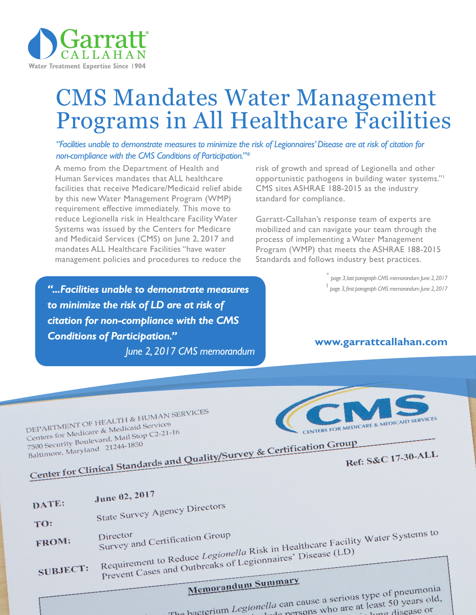

# CMS Mandates Water Management Programs in All Healthcare Facilities

*"Facilities unable to demonstrate measures to minimize the risk of Legionnaires' Disease are at risk of citation for non-compliance with the CMS Conditions of Participation."\**

A memo from the Department of Health and Human Services mandates that ALL healthcare facilities that receive Medicare/Medicaid relief abide by this new Water Management Program (WMP) requirement effective immediately. This move to reduce Legionella risk in Healthcare Facility Water Systems was issued by the Centers for Medicare and Medicaid Services (CMS) on June 2, 2017 and mandates ALL Healthcare Facilities "have water management policies and procedures to reduce the

*"...Facilities unable to demonstrate measures to minimize the risk of LD are at risk of citation for non-compliance with the CMS Conditions of Participation."* 

*June 2, 2017 CMS memorandum*

risk of growth and spread of Legionella and other opportunistic pathogens in building water systems."1 CMS sites ASHRAE 188-2015 as the industry standard for compliance.

Garratt-Callahan's response team of experts are mobilized and can navigate your team through the process of implementing a Water Management Program (WMP) that meets the ASHRAE 188-2015 Standards and follows industry best practices.

> \* *page 3, last paragraph CMS memorandum June 2, 2017*  <sup>1</sup> *page 3, first paragraph CMS memorandum June 2, 2017*

#### **www.garrattcallahan.com**

DEPARTMENT OF HEALTH & HUMAN SERVICES DEPARTMENT OF HEALTH & HUMAN<br>Centers for Medicare & Medicaid Services<br>Centers for Medicare & Mail Stop C2-21-DEPARTMENT Of Medicaid Services<br>Centers for Medicare & Medicaid Services<br>7500 Security Boulevard, Mail Stop C2-21-16<br>7500 Security Boulevard, 21244-1850 Centers for Medician Mail Stop C2-21-10<br>
T500 Security Boulevard, Mail Stop C2-21-10<br>
Baltimore, Maryland 21244-1850<br>
Center for Clinical Standards and Quality/Survey & Certification Group 7500 Security Boulevard, Mail 7500 Security Boulevard, Maryland 21244-1850

D

T

F



Ref: S&C 17-30-ALL

| ATE:      | June 02, 2017                                                                                                   |
|-----------|-----------------------------------------------------------------------------------------------------------------|
| <b>O:</b> | State Survey Agency Directors                                                                                   |
| ROM:      | Requirement to Reduce Legionella Risk in Healthcare Facility Water Systems to<br>Survey and Certification Group |
| UBJECT:   | Prevent Cases and Outbreaks of Legionnaires' Disease (LD)                                                       |
|           | Memorandum Summary<br>$-$                                                                                       |

Memorandum Summary<br>The bacterium Legionella can cause a serious type of pneumonia<br>The bacterium Legionella can cause a serious type of pneumonia ella can cause a serious type of phemis.<br>bude persons who are at least 50 years old,